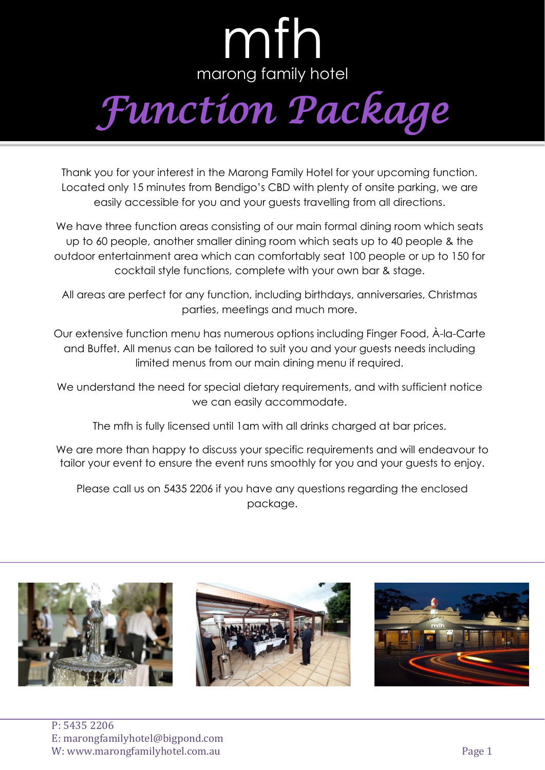## mfh marong family hotel *Function Package*

Thank you for your interest in the Marong Family Hotel for your upcoming function. Located only 15 minutes from Bendigo's CBD with plenty of onsite parking, we are easily accessible for you and your guests travelling from all directions.

We have three function areas consisting of our main formal dining room which seats up to 60 people, another smaller dining room which seats up to 40 people & the outdoor entertainment area which can comfortably seat 100 people or up to 150 for cocktail style functions, complete with your own bar & stage.

All areas are perfect for any function, including birthdays, anniversaries, Christmas parties, meetings and much more.

Our extensive function menu has numerous options including Finger Food, À-la-Carte and Buffet. All menus can be tailored to suit you and your guests needs including limited menus from our main dining menu if required.

We understand the need for special dietary requirements, and with sufficient notice we can easily accommodate.

The mfh is fully licensed until 1am with all drinks charged at bar prices.

We are more than happy to discuss your specific requirements and will endeavour to tailor your event to ensure the event runs smoothly for you and your guests to enjoy.

Please call us on 5435 2206 if you have any questions regarding the enclosed package.

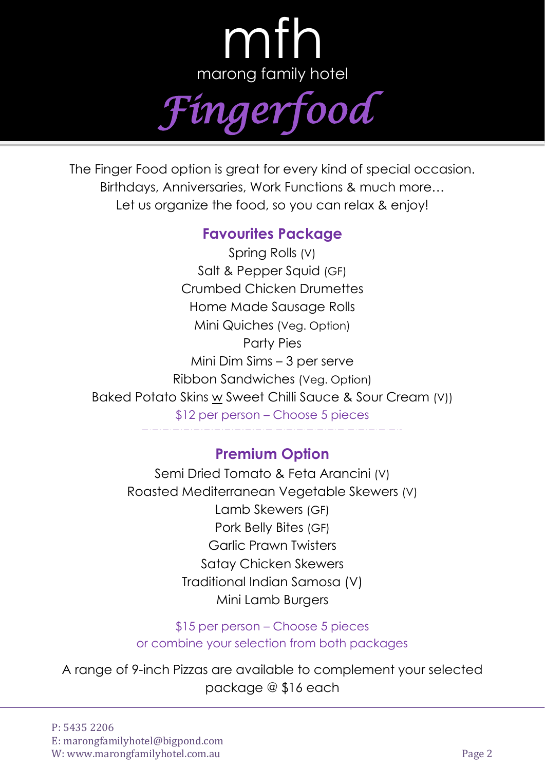

The Finger Food option is great for every kind of special occasion. Birthdays, Anniversaries, Work Functions & much more… Let us organize the food, so you can relax & enjoy!

## **Favourites Package**

Spring Rolls (V) Salt & Pepper Squid (GF) Crumbed Chicken Drumettes Home Made Sausage Rolls Mini Quiches (Veg. Option) Party Pies Mini Dim Sims – 3 per serve Ribbon Sandwiches (Veg. Option) Baked Potato Skins w Sweet Chilli Sauce & Sour Cream (V)) \$12 per person – Choose 5 pieces

## **Premium Option**

Semi Dried Tomato & Feta Arancini (V) Roasted Mediterranean Vegetable Skewers (V) Lamb Skewers (GF) Pork Belly Bites (GF) Garlic Prawn Twisters Satay Chicken Skewers Traditional Indian Samosa (V) Mini Lamb Burgers

\$15 per person – Choose 5 pieces or combine your selection from both packages

A range of 9-inch Pizzas are available to complement your selected package @ \$16 each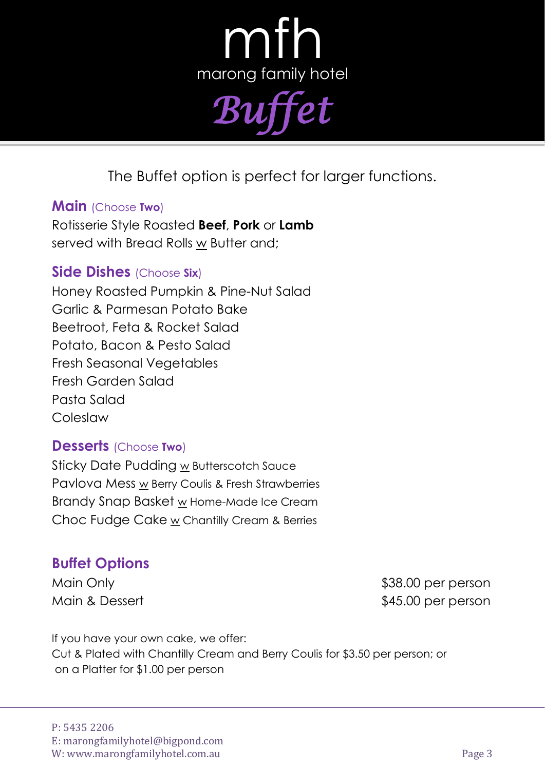mth marong family hotel *Buffet*

The Buffet option is perfect for larger functions.

#### **Main** (Choose **Two**)

Rotisserie Style Roasted **Beef**, **Pork** or **Lamb** served with Bread Rolls w Butter and;

#### **Side Dishes** (Choose **Six**)

Honey Roasted Pumpkin & Pine-Nut Salad Garlic & Parmesan Potato Bake Beetroot, Feta & Rocket Salad Potato, Bacon & Pesto Salad Fresh Seasonal Vegetables Fresh Garden Salad Pasta Salad Coleslaw

#### **Desserts** (Choose **Two**)

Sticky Date Pudding w Butterscotch Sauce Pavlova Mess w Berry Coulis & Fresh Strawberries Brandy Snap Basket w Home-Made Ice Cream Choc Fudge Cake w Chantilly Cream & Berries

### **Buffet Options**

Main Only **1988.00 per person** Main & Dessert **\$45.00 per person** 

If you have your own cake, we offer: Cut & Plated with Chantilly Cream and Berry Coulis for \$3.50 per person; or on a Platter for \$1.00 per person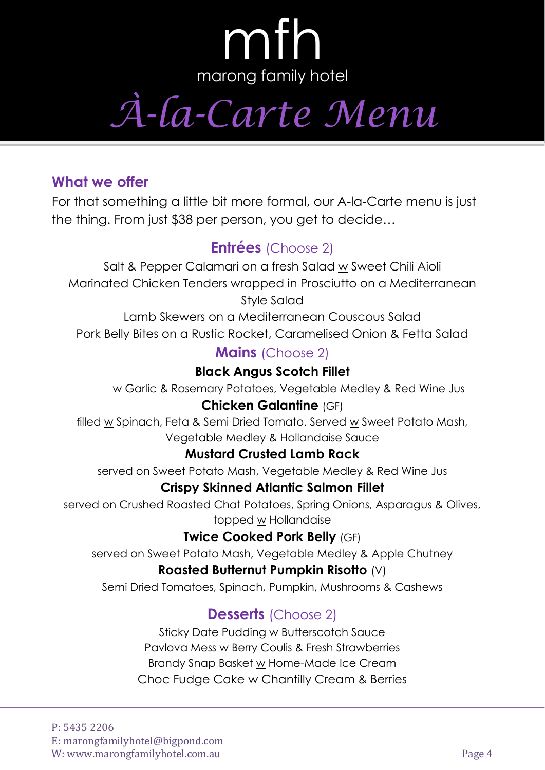*À-la-Carte Menu*

## **What we offer**

For that something a little bit more formal, our A-la-Carte menu is just the thing. From just \$38 per person, you get to decide…

## **Entrées** (Choose 2)

Salt & Pepper Calamari on a fresh Salad w Sweet Chili Aioli Marinated Chicken Tenders wrapped in Prosciutto on a Mediterranean Style Salad

Lamb Skewers on a Mediterranean Couscous Salad Pork Belly Bites on a Rustic Rocket, Caramelised Onion & Fetta Salad

### **Mains** (Choose 2)

#### **Black Angus Scotch Fillet**

w Garlic & Rosemary Potatoes, Vegetable Medley & Red Wine Jus

#### **Chicken Galantine** (GF)

filled w Spinach, Feta & Semi Dried Tomato. Served w Sweet Potato Mash, Vegetable Medley & Hollandaise Sauce

#### **Mustard Crusted Lamb Rack**

served on Sweet Potato Mash, Vegetable Medley & Red Wine Jus

#### **Crispy Skinned Atlantic Salmon Fillet**

served on Crushed Roasted Chat Potatoes, Spring Onions, Asparagus & Olives, topped w Hollandaise

#### **Twice Cooked Pork Belly** (GF)

served on Sweet Potato Mash, Vegetable Medley & Apple Chutney

#### **Roasted Butternut Pumpkin Risotto** (V)

Semi Dried Tomatoes, Spinach, Pumpkin, Mushrooms & Cashews

## **Desserts** (Choose 2)

Sticky Date Pudding w Butterscotch Sauce Pavlova Mess w Berry Coulis & Fresh Strawberries Brandy Snap Basket w Home-Made Ice Cream Choc Fudge Cake w Chantilly Cream & Berries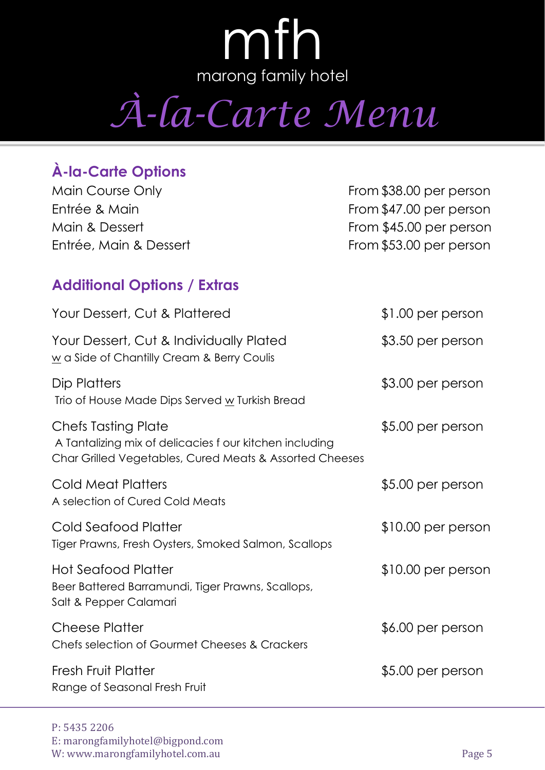*À-la-Carte Menu*

## **À-la-Carte Options**

Main Course Only **From \$38.00 per person** Entrée & Main From \$47.00 per person Main & Dessert **From \$45.00 per person** Entrée, Main & Dessert From \$53.00 per person

### **Additional Options / Extras**

| Your Dessert, Cut & Plattered                                                                                                             | $$1.00$ per person  |
|-------------------------------------------------------------------------------------------------------------------------------------------|---------------------|
| Your Dessert, Cut & Individually Plated<br>w a Side of Chantilly Cream & Berry Coulis                                                     | \$3.50 per person   |
| Dip Platters<br>Trio of House Made Dips Served w Turkish Bread                                                                            | \$3.00 per person   |
| Chefs Tasting Plate<br>A Tantalizing mix of delicacies f our kitchen including<br>Char Grilled Vegetables, Cured Meats & Assorted Cheeses | \$5.00 per person   |
| Cold Meat Platters<br>A selection of Cured Cold Meats                                                                                     | \$5.00 per person   |
| <b>Cold Seafood Platter</b><br>Tiger Prawns, Fresh Oysters, Smoked Salmon, Scallops                                                       | $$10.00$ per person |
| <b>Hot Seafood Platter</b><br>Beer Battered Barramundi, Tiger Prawns, Scallops,<br>Salt & Pepper Calamari                                 | $$10.00$ per person |
| <b>Cheese Platter</b><br>Chefs selection of Gourmet Cheeses & Crackers                                                                    | \$6.00 per person   |
| <b>Fresh Fruit Platter</b><br>Range of Seasonal Fresh Fruit                                                                               | \$5.00 per person   |
|                                                                                                                                           |                     |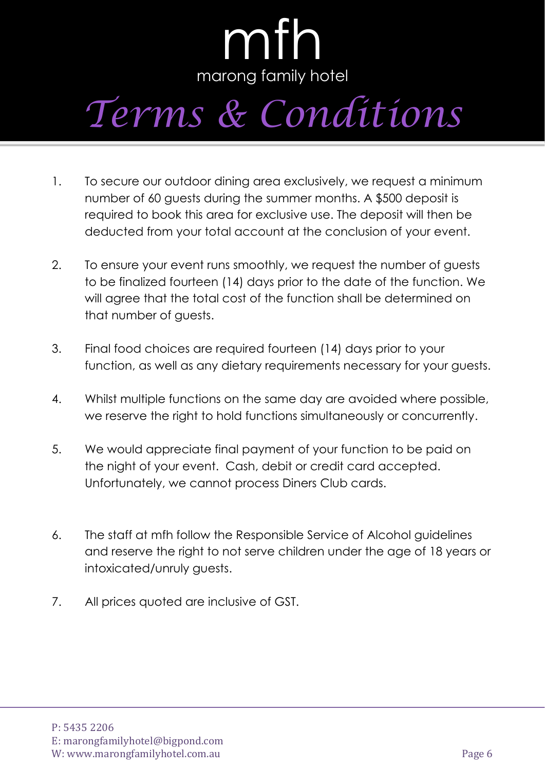# *Terms & Conditions*

- 1. To secure our outdoor dining area exclusively, we request a minimum number of 60 guests during the summer months. A \$500 deposit is required to book this area for exclusive use. The deposit will then be deducted from your total account at the conclusion of your event.
- 2. To ensure your event runs smoothly, we request the number of guests to be finalized fourteen (14) days prior to the date of the function. We will agree that the total cost of the function shall be determined on that number of guests.
- 3. Final food choices are required fourteen (14) days prior to your function, as well as any dietary requirements necessary for your guests.
- 4. Whilst multiple functions on the same day are avoided where possible, we reserve the right to hold functions simultaneously or concurrently.
- 5. We would appreciate final payment of your function to be paid on the night of your event. Cash, debit or credit card accepted. Unfortunately, we cannot process Diners Club cards.
- 6. The staff at mfh follow the Responsible Service of Alcohol guidelines and reserve the right to not serve children under the age of 18 years or intoxicated/unruly guests.
- 7. All prices quoted are inclusive of GST.